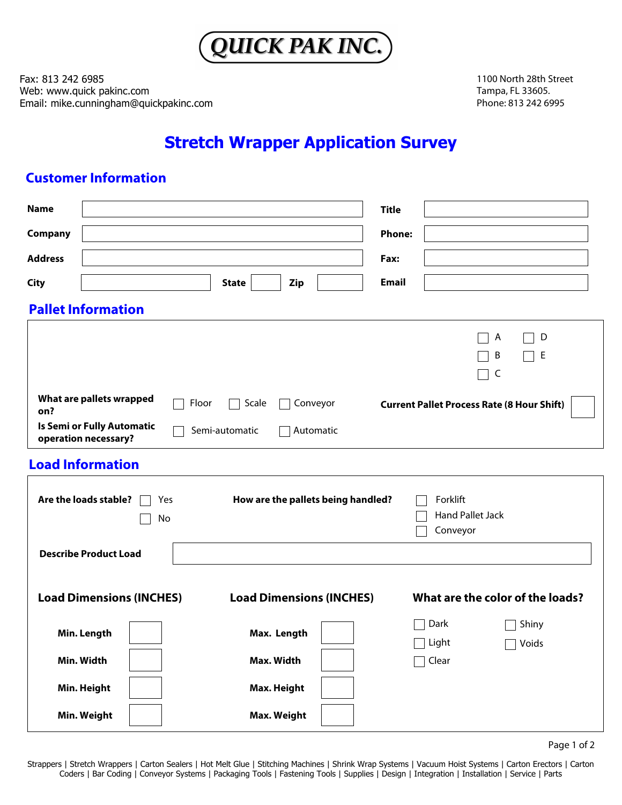

Fax: 813 242 6985 Web: www.quick pakinc.com Email: mike.cunningham@quickpakinc.com 1100 North 28th Street Tampa, FL 33605. Phone: 813 242 6995

# **Stretch Wrapper Application Survey**

## **Customer Information**

**Min. Weight**

| <b>Name</b>    |                                                    |           |                |                                    | <b>Title</b>  |                                                   |        |  |
|----------------|----------------------------------------------------|-----------|----------------|------------------------------------|---------------|---------------------------------------------------|--------|--|
| Company        |                                                    |           |                |                                    | <b>Phone:</b> |                                                   |        |  |
| <b>Address</b> |                                                    |           |                |                                    | Fax:          |                                                   |        |  |
| <b>City</b>    |                                                    |           | <b>State</b>   | Zip                                | <b>Email</b>  |                                                   |        |  |
|                | <b>Pallet Information</b>                          |           |                |                                    |               |                                                   |        |  |
|                |                                                    |           |                |                                    |               | A<br>B<br>$\mathsf{C}$                            | D<br>Е |  |
| on?            | What are pallets wrapped                           | Floor     | Scale          | Conveyor                           |               | <b>Current Pallet Process Rate (8 Hour Shift)</b> |        |  |
|                | Is Semi or Fully Automatic<br>operation necessary? |           | Semi-automatic | Automatic                          |               |                                                   |        |  |
|                | <b>Load Information</b>                            |           |                |                                    |               |                                                   |        |  |
|                | Are the loads stable?                              | Yes<br>No |                | How are the pallets being handled? |               | Forklift<br><b>Hand Pallet Jack</b><br>Conveyor   |        |  |
|                | <b>Describe Product Load</b>                       |           |                |                                    |               |                                                   |        |  |
|                | <b>Load Dimensions (INCHES)</b>                    |           |                | <b>Load Dimensions (INCHES)</b>    |               | What are the color of the loads?                  |        |  |
|                | Min. Length                                        |           | Max. Length    |                                    |               | Dark                                              | Shiny  |  |
|                | Min. Width                                         |           | Max. Width     |                                    |               | Light<br>Clear                                    | Voids  |  |
|                | Min. Height                                        |           | Max. Height    |                                    |               |                                                   |        |  |

Page 1 of 2

Strappers | Stretch Wrappers | Carton Sealers | Hot Melt Glue | Stitching Machines | Shrink Wrap Systems | Vacuum Hoist Systems | Carton Erectors | Carton Coders | Bar Coding | Conveyor Systems | Packaging Tools | Fastening Tools | Supplies | Design | Integration | Installation | Service | Parts

**Max. Weight**